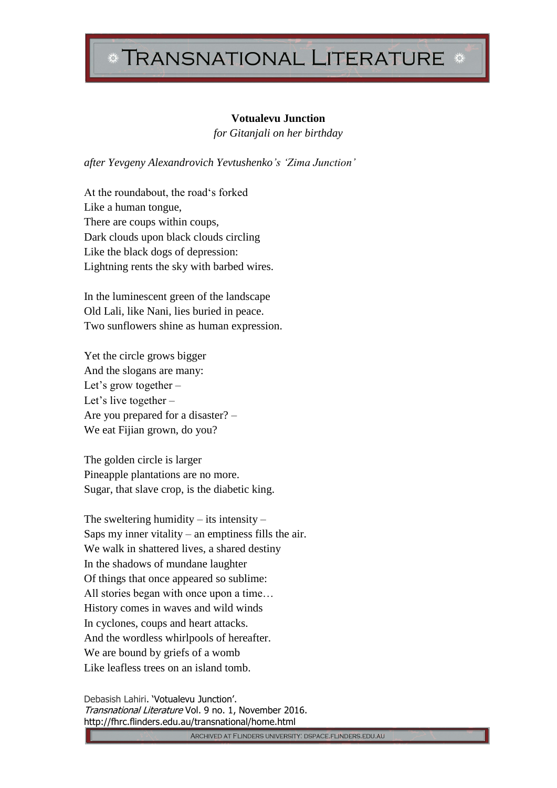## **TRANSNATIONAL LITERATURE**

## **Votualevu Junction**

*for Gitanjali on her birthday*

*after Yevgeny Alexandrovich Yevtushenko's 'Zima Junction'* 

At the roundabout, the road's forked Like a human tongue, There are coups within coups, Dark clouds upon black clouds circling Like the black dogs of depression: Lightning rents the sky with barbed wires.

In the luminescent green of the landscape Old Lali, like Nani, lies buried in peace. Two sunflowers shine as human expression.

Yet the circle grows bigger And the slogans are many: Let's grow together – Let's live together – Are you prepared for a disaster? – We eat Fijian grown, do you?

The golden circle is larger Pineapple plantations are no more. Sugar, that slave crop, is the diabetic king.

The sweltering humidity  $-$  its intensity  $-$ Saps my inner vitality – an emptiness fills the air. We walk in shattered lives, a shared destiny In the shadows of mundane laughter Of things that once appeared so sublime: All stories began with once upon a time… History comes in waves and wild winds In cyclones, coups and heart attacks. And the wordless whirlpools of hereafter. We are bound by griefs of a womb Like leafless trees on an island tomb.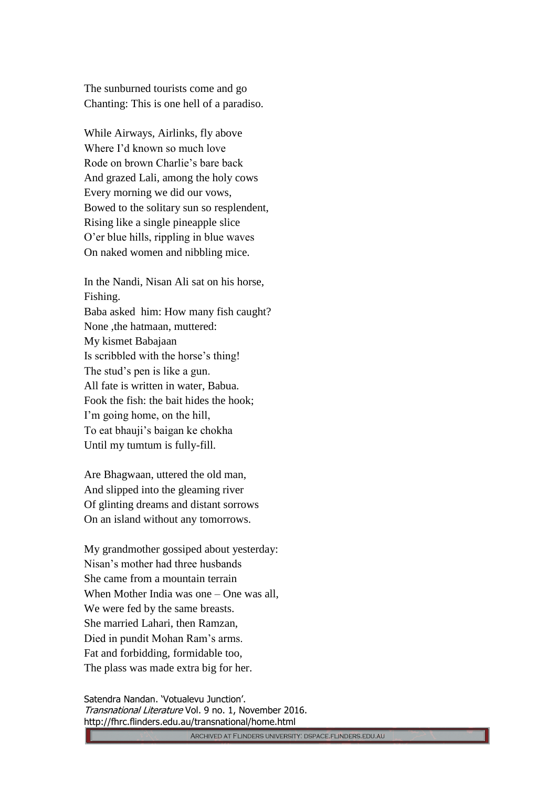The sunburned tourists come and go Chanting: This is one hell of a paradiso.

While Airways, Airlinks, fly above Where I'd known so much love Rode on brown Charlie's bare back And grazed Lali, among the holy cows Every morning we did our vows, Bowed to the solitary sun so resplendent, Rising like a single pineapple slice O'er blue hills, rippling in blue waves On naked women and nibbling mice.

In the Nandi, Nisan Ali sat on his horse, Fishing. Baba asked him: How many fish caught? None ,the hatmaan, muttered: My kismet Babajaan Is scribbled with the horse's thing! The stud's pen is like a gun. All fate is written in water, Babua. Fook the fish: the bait hides the hook; I'm going home, on the hill, To eat bhauji's baigan ke chokha Until my tumtum is fully-fill.

Are Bhagwaan, uttered the old man, And slipped into the gleaming river Of glinting dreams and distant sorrows On an island without any tomorrows.

My grandmother gossiped about yesterday: Nisan's mother had three husbands She came from a mountain terrain When Mother India was one – One was all, We were fed by the same breasts. She married Lahari, then Ramzan, Died in pundit Mohan Ram's arms. Fat and forbidding, formidable too, The plass was made extra big for her.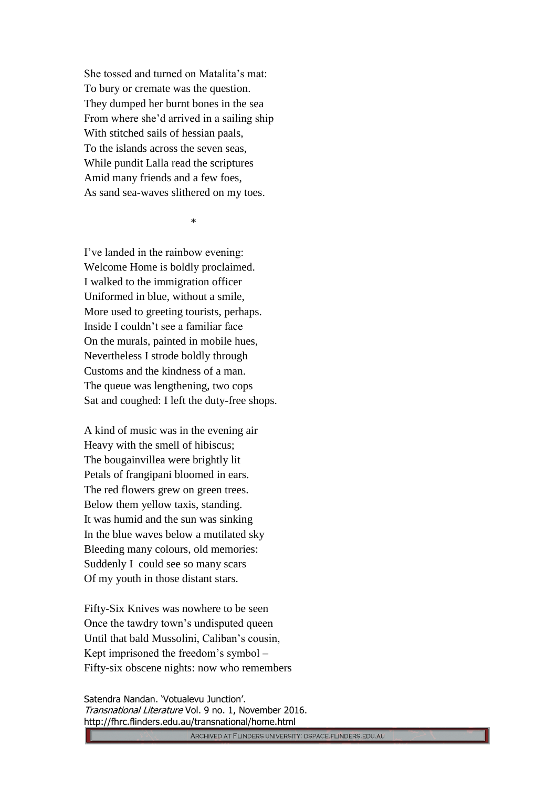She tossed and turned on Matalita's mat: To bury or cremate was the question. They dumped her burnt bones in the sea From where she'd arrived in a sailing ship With stitched sails of hessian paals, To the islands across the seven seas, While pundit Lalla read the scriptures Amid many friends and a few foes, As sand sea-waves slithered on my toes.

 $*$ 

I've landed in the rainbow evening: Welcome Home is boldly proclaimed. I walked to the immigration officer Uniformed in blue, without a smile, More used to greeting tourists, perhaps. Inside I couldn't see a familiar face On the murals, painted in mobile hues, Nevertheless I strode boldly through Customs and the kindness of a man. The queue was lengthening, two cops Sat and coughed: I left the duty-free shops.

A kind of music was in the evening air Heavy with the smell of hibiscus; The bougainvillea were brightly lit Petals of frangipani bloomed in ears. The red flowers grew on green trees. Below them yellow taxis, standing. It was humid and the sun was sinking In the blue waves below a mutilated sky Bleeding many colours, old memories: Suddenly I could see so many scars Of my youth in those distant stars.

Fifty-Six Knives was nowhere to be seen Once the tawdry town's undisputed queen Until that bald Mussolini, Caliban's cousin, Kept imprisoned the freedom's symbol – Fifty-six obscene nights: now who remembers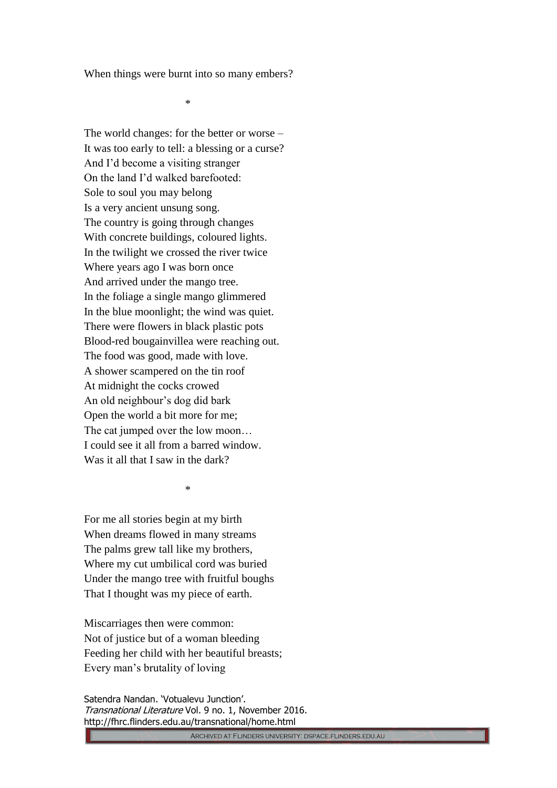When things were burnt into so many embers?

\*

The world changes: for the better or worse – It was too early to tell: a blessing or a curse? And I'd become a visiting stranger On the land I'd walked barefooted: Sole to soul you may belong Is a very ancient unsung song. The country is going through changes With concrete buildings, coloured lights. In the twilight we crossed the river twice Where years ago I was born once And arrived under the mango tree. In the foliage a single mango glimmered In the blue moonlight; the wind was quiet. There were flowers in black plastic pots Blood-red bougainvillea were reaching out. The food was good, made with love. A shower scampered on the tin roof At midnight the cocks crowed An old neighbour's dog did bark Open the world a bit more for me; The cat jumped over the low moon… I could see it all from a barred window. Was it all that I saw in the dark?

\*

For me all stories begin at my birth When dreams flowed in many streams The palms grew tall like my brothers, Where my cut umbilical cord was buried Under the mango tree with fruitful boughs That I thought was my piece of earth.

Miscarriages then were common: Not of justice but of a woman bleeding Feeding her child with her beautiful breasts; Every man's brutality of loving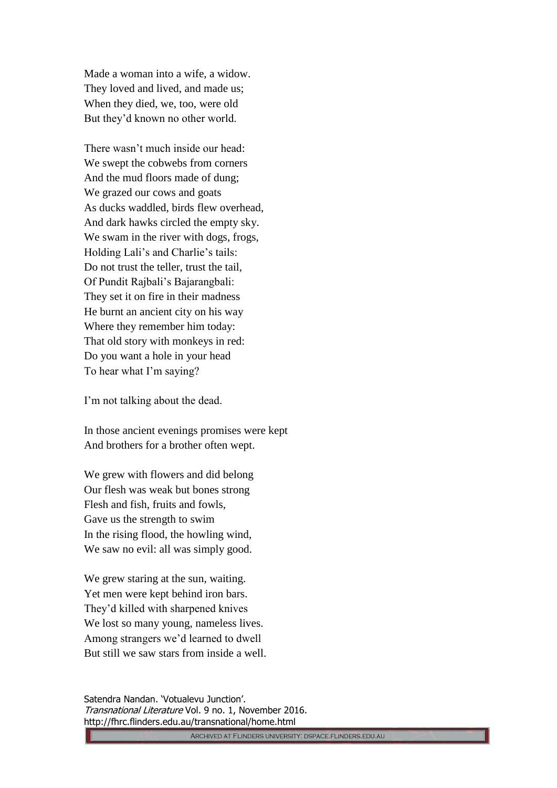Made a woman into a wife, a widow. They loved and lived, and made us; When they died, we, too, were old But they'd known no other world.

There wasn't much inside our head: We swept the cobwebs from corners And the mud floors made of dung; We grazed our cows and goats As ducks waddled, birds flew overhead, And dark hawks circled the empty sky. We swam in the river with dogs, frogs, Holding Lali's and Charlie's tails: Do not trust the teller, trust the tail, Of Pundit Rajbali's Bajarangbali: They set it on fire in their madness He burnt an ancient city on his way Where they remember him today: That old story with monkeys in red: Do you want a hole in your head To hear what I'm saying?

I'm not talking about the dead.

In those ancient evenings promises were kept And brothers for a brother often wept.

We grew with flowers and did belong Our flesh was weak but bones strong Flesh and fish, fruits and fowls, Gave us the strength to swim In the rising flood, the howling wind, We saw no evil: all was simply good.

We grew staring at the sun, waiting. Yet men were kept behind iron bars. They'd killed with sharpened knives We lost so many young, nameless lives. Among strangers we'd learned to dwell But still we saw stars from inside a well.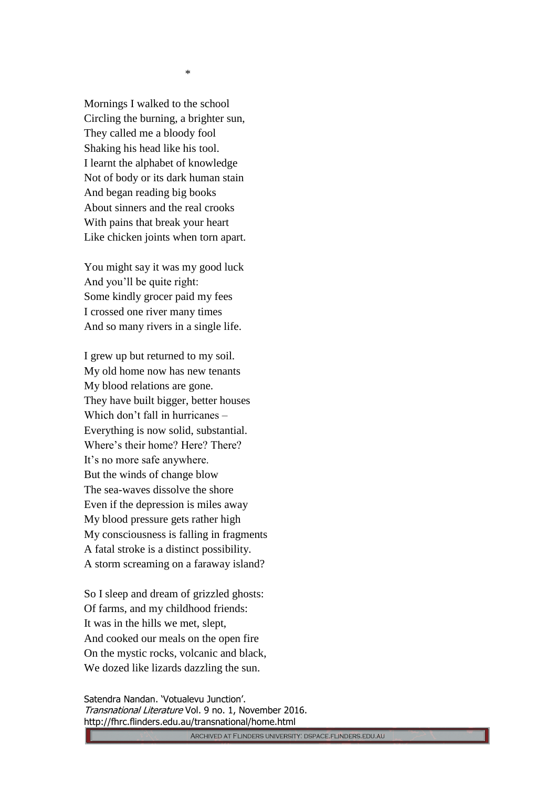Mornings I walked to the school Circling the burning, a brighter sun, They called me a bloody fool Shaking his head like his tool. I learnt the alphabet of knowledge Not of body or its dark human stain And began reading big books About sinners and the real crooks With pains that break your heart Like chicken joints when torn apart.

You might say it was my good luck And you'll be quite right: Some kindly grocer paid my fees I crossed one river many times And so many rivers in a single life.

I grew up but returned to my soil. My old home now has new tenants My blood relations are gone. They have built bigger, better houses Which don't fall in hurricanes – Everything is now solid, substantial. Where's their home? Here? There? It's no more safe anywhere. But the winds of change blow The sea-waves dissolve the shore Even if the depression is miles away My blood pressure gets rather high My consciousness is falling in fragments A fatal stroke is a distinct possibility. A storm screaming on a faraway island?

So I sleep and dream of grizzled ghosts: Of farms, and my childhood friends: It was in the hills we met, slept, And cooked our meals on the open fire On the mystic rocks, volcanic and black, We dozed like lizards dazzling the sun.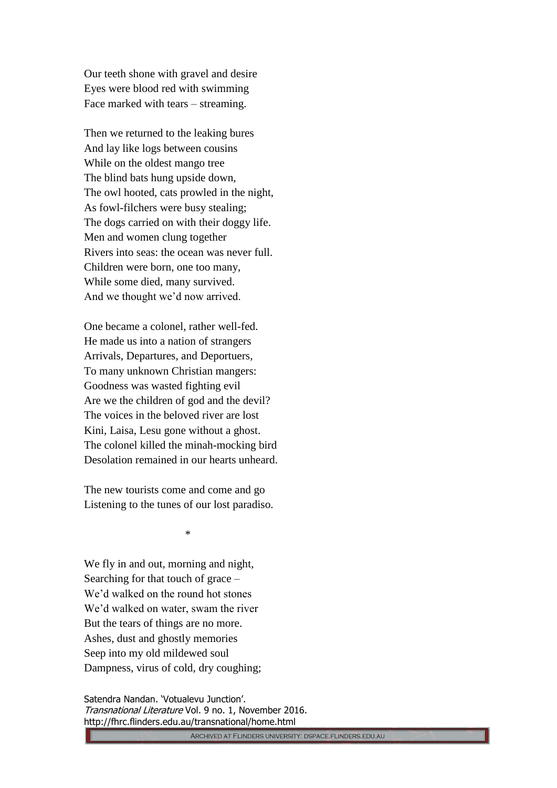Our teeth shone with gravel and desire Eyes were blood red with swimming Face marked with tears – streaming.

Then we returned to the leaking bures And lay like logs between cousins While on the oldest mango tree The blind bats hung upside down, The owl hooted, cats prowled in the night, As fowl-filchers were busy stealing; The dogs carried on with their doggy life. Men and women clung together Rivers into seas: the ocean was never full. Children were born, one too many, While some died, many survived. And we thought we'd now arrived.

One became a colonel, rather well-fed. He made us into a nation of strangers Arrivals, Departures, and Deportuers, To many unknown Christian mangers: Goodness was wasted fighting evil Are we the children of god and the devil? The voices in the beloved river are lost Kini, Laisa, Lesu gone without a ghost. The colonel killed the minah-mocking bird Desolation remained in our hearts unheard.

The new tourists come and come and go Listening to the tunes of our lost paradiso.

\*

We fly in and out, morning and night, Searching for that touch of grace – We'd walked on the round hot stones We'd walked on water, swam the river But the tears of things are no more. Ashes, dust and ghostly memories Seep into my old mildewed soul Dampness, virus of cold, dry coughing;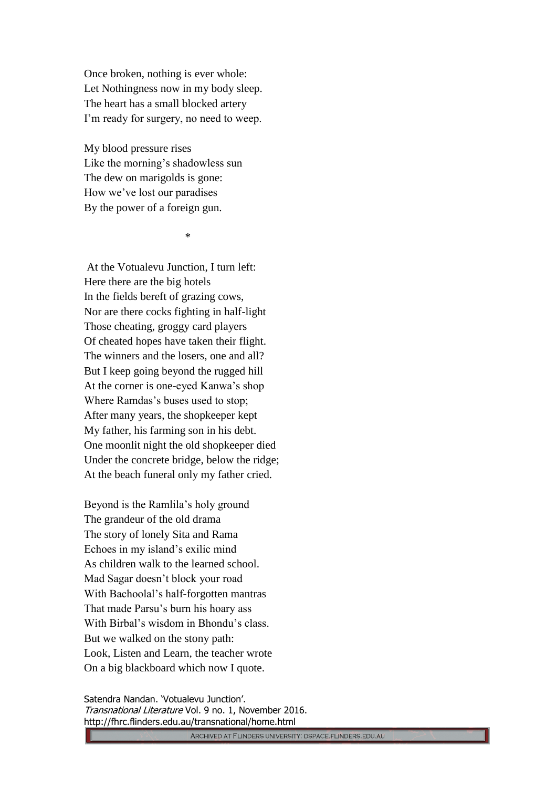Once broken, nothing is ever whole: Let Nothingness now in my body sleep. The heart has a small blocked artery I'm ready for surgery, no need to weep.

My blood pressure rises Like the morning's shadowless sun The dew on marigolds is gone: How we've lost our paradises By the power of a foreign gun.

\*

At the Votualevu Junction, I turn left: Here there are the big hotels In the fields bereft of grazing cows, Nor are there cocks fighting in half-light Those cheating, groggy card players Of cheated hopes have taken their flight. The winners and the losers, one and all? But I keep going beyond the rugged hill At the corner is one-eyed Kanwa's shop Where Ramdas's buses used to stop; After many years, the shopkeeper kept My father, his farming son in his debt. One moonlit night the old shopkeeper died Under the concrete bridge, below the ridge; At the beach funeral only my father cried.

Beyond is the Ramlila's holy ground The grandeur of the old drama The story of lonely Sita and Rama Echoes in my island's exilic mind As children walk to the learned school. Mad Sagar doesn't block your road With Bachoolal's half-forgotten mantras That made Parsu's burn his hoary ass With Birbal's wisdom in Bhondu's class. But we walked on the stony path: Look, Listen and Learn, the teacher wrote On a big blackboard which now I quote.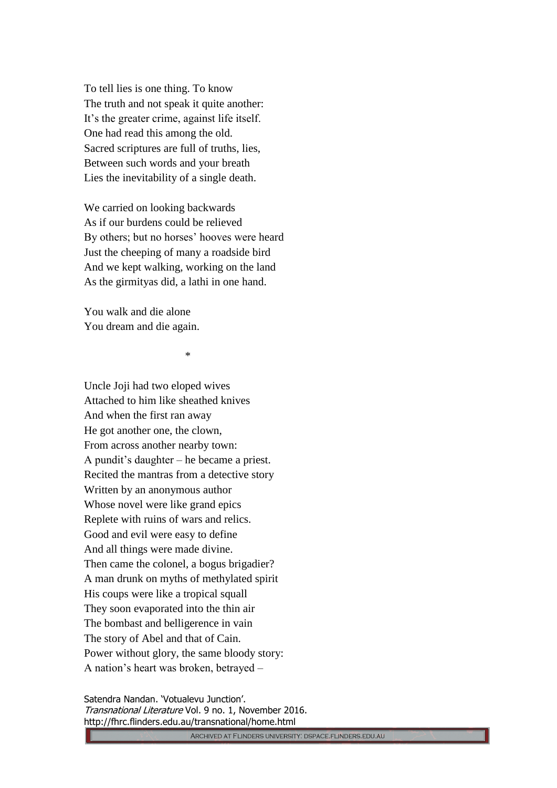To tell lies is one thing. To know The truth and not speak it quite another: It's the greater crime, against life itself. One had read this among the old. Sacred scriptures are full of truths, lies, Between such words and your breath Lies the inevitability of a single death.

We carried on looking backwards As if our burdens could be relieved By others; but no horses' hooves were heard Just the cheeping of many a roadside bird And we kept walking, working on the land As the girmityas did, a lathi in one hand.

You walk and die alone You dream and die again.

\*

Uncle Joji had two eloped wives Attached to him like sheathed knives And when the first ran away He got another one, the clown, From across another nearby town: A pundit's daughter – he became a priest. Recited the mantras from a detective story Written by an anonymous author Whose novel were like grand epics Replete with ruins of wars and relics. Good and evil were easy to define And all things were made divine. Then came the colonel, a bogus brigadier? A man drunk on myths of methylated spirit His coups were like a tropical squall They soon evaporated into the thin air The bombast and belligerence in vain The story of Abel and that of Cain. Power without glory, the same bloody story: A nation's heart was broken, betrayed –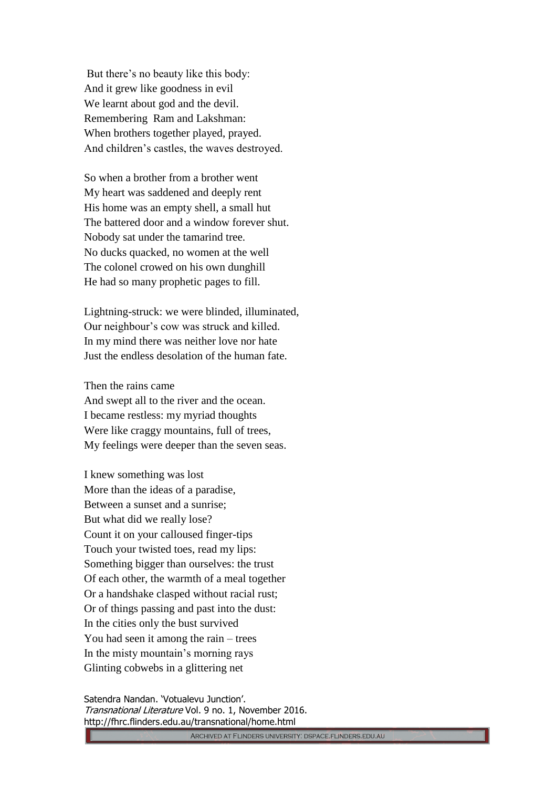But there's no beauty like this body: And it grew like goodness in evil We learnt about god and the devil. Remembering Ram and Lakshman: When brothers together played, prayed. And children's castles, the waves destroyed.

So when a brother from a brother went My heart was saddened and deeply rent His home was an empty shell, a small hut The battered door and a window forever shut. Nobody sat under the tamarind tree. No ducks quacked, no women at the well The colonel crowed on his own dunghill He had so many prophetic pages to fill.

Lightning-struck: we were blinded, illuminated, Our neighbour's cow was struck and killed. In my mind there was neither love nor hate Just the endless desolation of the human fate.

Then the rains came

And swept all to the river and the ocean. I became restless: my myriad thoughts Were like craggy mountains, full of trees, My feelings were deeper than the seven seas.

I knew something was lost More than the ideas of a paradise, Between a sunset and a sunrise; But what did we really lose? Count it on your calloused finger-tips Touch your twisted toes, read my lips: Something bigger than ourselves: the trust Of each other, the warmth of a meal together Or a handshake clasped without racial rust; Or of things passing and past into the dust: In the cities only the bust survived You had seen it among the rain – trees In the misty mountain's morning rays Glinting cobwebs in a glittering net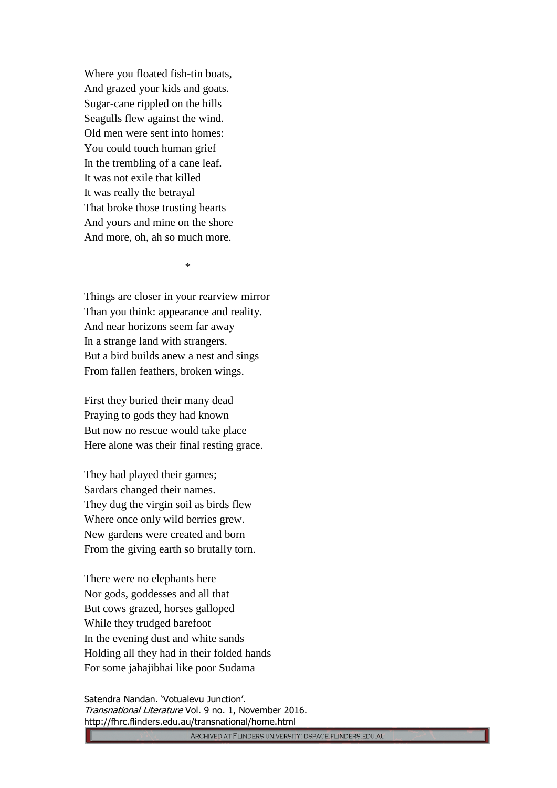Where you floated fish-tin boats, And grazed your kids and goats. Sugar-cane rippled on the hills Seagulls flew against the wind. Old men were sent into homes: You could touch human grief In the trembling of a cane leaf. It was not exile that killed It was really the betrayal That broke those trusting hearts And yours and mine on the shore And more, oh, ah so much more.

\*

Things are closer in your rearview mirror Than you think: appearance and reality. And near horizons seem far away In a strange land with strangers. But a bird builds anew a nest and sings From fallen feathers, broken wings.

First they buried their many dead Praying to gods they had known But now no rescue would take place Here alone was their final resting grace.

They had played their games; Sardars changed their names. They dug the virgin soil as birds flew Where once only wild berries grew. New gardens were created and born From the giving earth so brutally torn.

There were no elephants here Nor gods, goddesses and all that But cows grazed, horses galloped While they trudged barefoot In the evening dust and white sands Holding all they had in their folded hands For some jahajibhai like poor Sudama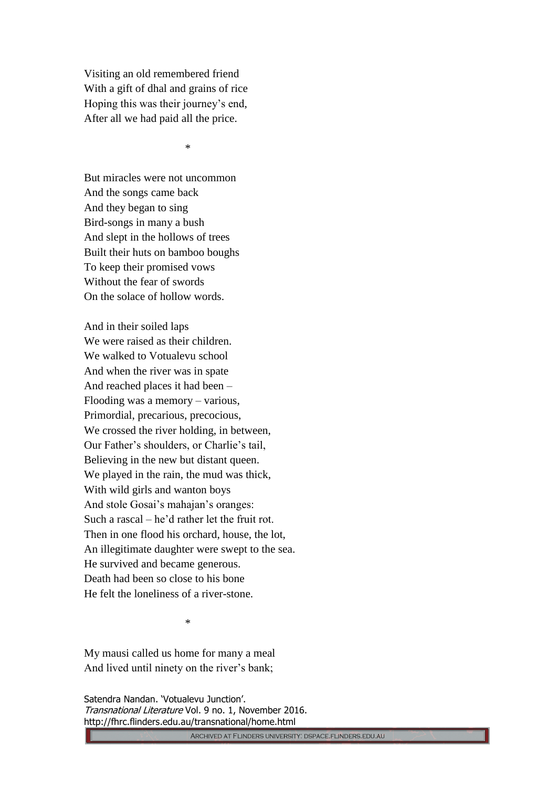Visiting an old remembered friend With a gift of dhal and grains of rice Hoping this was their journey's end, After all we had paid all the price.

\*

But miracles were not uncommon And the songs came back And they began to sing Bird-songs in many a bush And slept in the hollows of trees Built their huts on bamboo boughs To keep their promised vows Without the fear of swords On the solace of hollow words.

And in their soiled laps We were raised as their children. We walked to Votualevu school And when the river was in spate And reached places it had been – Flooding was a memory – various, Primordial, precarious, precocious, We crossed the river holding, in between, Our Father's shoulders, or Charlie's tail, Believing in the new but distant queen. We played in the rain, the mud was thick, With wild girls and wanton boys And stole Gosai's mahajan's oranges: Such a rascal – he'd rather let the fruit rot. Then in one flood his orchard, house, the lot, An illegitimate daughter were swept to the sea. He survived and became generous. Death had been so close to his bone He felt the loneliness of a river-stone.

\*

My mausi called us home for many a meal And lived until ninety on the river's bank;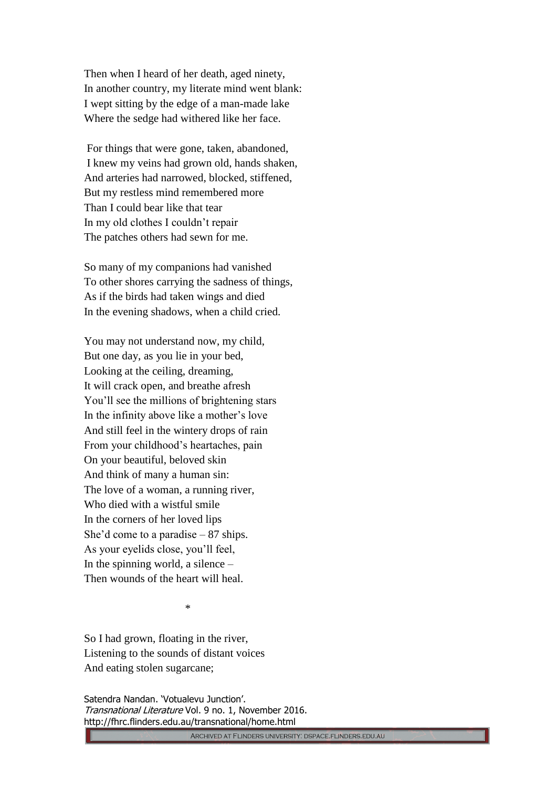Then when I heard of her death, aged ninety, In another country, my literate mind went blank: I wept sitting by the edge of a man-made lake Where the sedge had withered like her face.

For things that were gone, taken, abandoned, I knew my veins had grown old, hands shaken, And arteries had narrowed, blocked, stiffened, But my restless mind remembered more Than I could bear like that tear In my old clothes I couldn't repair The patches others had sewn for me.

So many of my companions had vanished To other shores carrying the sadness of things, As if the birds had taken wings and died In the evening shadows, when a child cried.

You may not understand now, my child, But one day, as you lie in your bed, Looking at the ceiling, dreaming, It will crack open, and breathe afresh You'll see the millions of brightening stars In the infinity above like a mother's love And still feel in the wintery drops of rain From your childhood's heartaches, pain On your beautiful, beloved skin And think of many a human sin: The love of a woman, a running river, Who died with a wistful smile In the corners of her loved lips She'd come to a paradise – 87 ships. As your eyelids close, you'll feel, In the spinning world, a silence – Then wounds of the heart will heal.

\*

So I had grown, floating in the river, Listening to the sounds of distant voices And eating stolen sugarcane;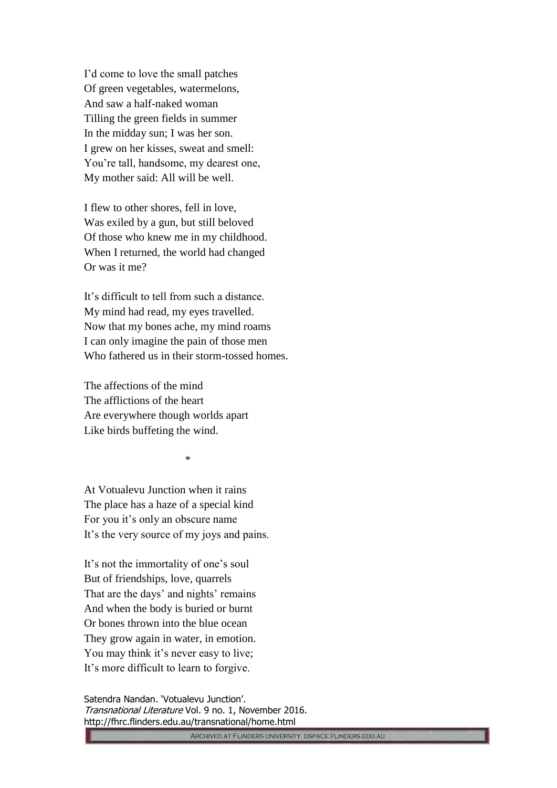I'd come to love the small patches Of green vegetables, watermelons, And saw a half-naked woman Tilling the green fields in summer In the midday sun; I was her son. I grew on her kisses, sweat and smell: You're tall, handsome, my dearest one, My mother said: All will be well.

I flew to other shores, fell in love, Was exiled by a gun, but still beloved Of those who knew me in my childhood. When I returned, the world had changed Or was it me?

It's difficult to tell from such a distance. My mind had read, my eyes travelled. Now that my bones ache, my mind roams I can only imagine the pain of those men Who fathered us in their storm-tossed homes.

The affections of the mind The afflictions of the heart Are everywhere though worlds apart Like birds buffeting the wind.

\*

At Votualevu Junction when it rains The place has a haze of a special kind For you it's only an obscure name It's the very source of my joys and pains.

It's not the immortality of one's soul But of friendships, love, quarrels That are the days' and nights' remains And when the body is buried or burnt Or bones thrown into the blue ocean They grow again in water, in emotion. You may think it's never easy to live; It's more difficult to learn to forgive.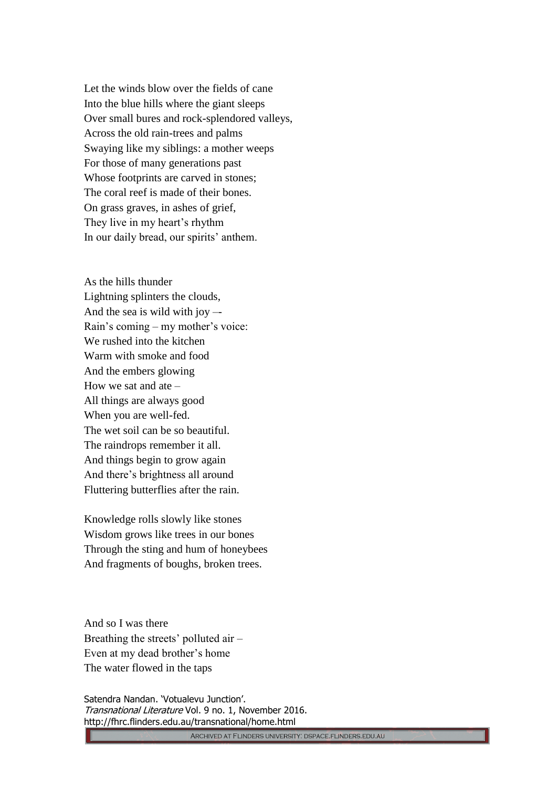Let the winds blow over the fields of cane Into the blue hills where the giant sleeps Over small bures and rock-splendored valleys, Across the old rain-trees and palms Swaying like my siblings: a mother weeps For those of many generations past Whose footprints are carved in stones; The coral reef is made of their bones. On grass graves, in ashes of grief, They live in my heart's rhythm In our daily bread, our spirits' anthem.

As the hills thunder Lightning splinters the clouds, And the sea is wild with joy –- Rain's coming – my mother's voice: We rushed into the kitchen Warm with smoke and food And the embers glowing How we sat and ate – All things are always good When you are well-fed. The wet soil can be so beautiful. The raindrops remember it all. And things begin to grow again And there's brightness all around Fluttering butterflies after the rain.

Knowledge rolls slowly like stones Wisdom grows like trees in our bones Through the sting and hum of honeybees And fragments of boughs, broken trees.

And so I was there Breathing the streets' polluted air – Even at my dead brother's home The water flowed in the taps